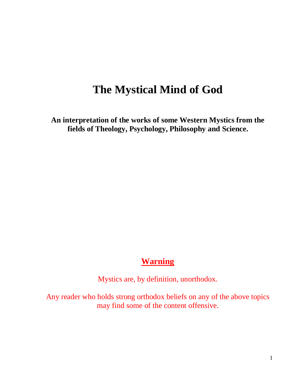### **The Mystical Mind of God**

**An interpretation of the works of some Western Mystics from the fields of Theology, Psychology, Philosophy and Science.**

### **Warning**

Mystics are, by definition, unorthodox.

Any reader who holds strong orthodox beliefs on any of the above topics may find some of the content offensive.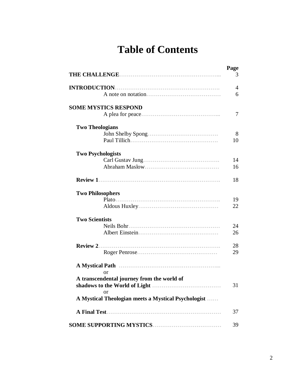### **Table of Contents**

|                          |                                                     | Page<br>3      |
|--------------------------|-----------------------------------------------------|----------------|
|                          |                                                     |                |
|                          |                                                     | $\overline{4}$ |
|                          |                                                     | 6              |
|                          | <b>SOME MYSTICS RESPOND</b>                         |                |
|                          |                                                     | 7              |
| <b>Two Theologians</b>   |                                                     |                |
|                          |                                                     | 8              |
|                          |                                                     | 10             |
| <b>Two Psychologists</b> |                                                     |                |
|                          |                                                     | 14             |
|                          |                                                     | 16             |
|                          |                                                     | 18             |
| <b>Two Philosophers</b>  |                                                     |                |
|                          |                                                     | 19             |
|                          |                                                     | 22             |
| <b>Two Scientists</b>    |                                                     |                |
|                          |                                                     | 24             |
|                          |                                                     | 26             |
| <b>Review 2</b>          |                                                     | 28             |
|                          |                                                     | 29             |
|                          |                                                     |                |
|                          | or                                                  |                |
|                          | A transcendental journey from the world of          | 31             |
|                          | or                                                  |                |
|                          | A Mystical Theologian meets a Mystical Psychologist |                |
| <b>A Final Test.</b>     |                                                     | 37             |
|                          |                                                     | 39             |
|                          |                                                     |                |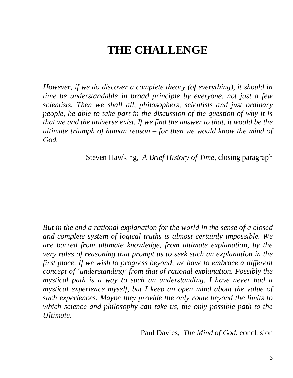### **THE CHALLENGE**

*However, if we do discover a complete theory (of everything), it should in time be understandable in broad principle by everyone, not just a few scientists. Then we shall all, philosophers, scientists and just ordinary people, be able to take part in the discussion of the question of why it is that we and the universe exist. If we find the answer to that, it would be the ultimate triumph of human reason – for then we would know the mind of God.*

Steven Hawking, *A Brief History of Time*, closing paragraph

*But in the end a rational explanation for the world in the sense of a closed and complete system of logical truths is almost certainly impossible. We are barred from ultimate knowledge, from ultimate explanation, by the very rules of reasoning that prompt us to seek such an explanation in the first place. If we wish to progress beyond, we have to embrace a different concept of 'understanding' from that of rational explanation. Possibly the mystical path is a way to such an understanding. I have never had a mystical experience myself, but I keep an open mind about the value of such experiences. Maybe they provide the only route beyond the limits to which science and philosophy can take us, the only possible path to the Ultimate.*

Paul Davies*, The Mind of God*, conclusion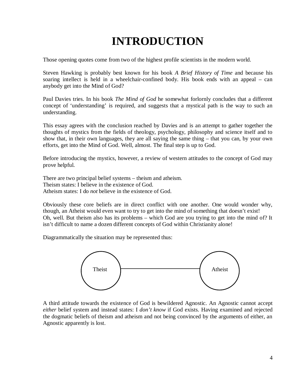# **INTRODUCTION**

Those opening quotes come from two of the highest profile scientists in the modern world.

Steven Hawking is probably best known for his book *A Brief History of Time* and because his soaring intellect is held in a wheelchair-confined body. His book ends with an appeal – can anybody get into the Mind of God?

Paul Davies tries. In his book *The Mind of God* he somewhat forlornly concludes that a different concept of 'understanding' is required, and suggests that a mystical path is the way to such an understanding.

This essay agrees with the conclusion reached by Davies and is an attempt to gather together the thoughts of mystics from the fields of theology, psychology, philosophy and science itself and to show that, in their own languages, they are all saying the same thing – that you can, by your own efforts, get into the Mind of God. Well, almost. The final step is up to God.

Before introducing the mystics, however, a review of western attitudes to the concept of God may prove helpful.

There are two principal belief systems – theism and atheism. Theism states: I believe in the existence of God. Atheism states: I do *not* believe in the existence of God.

Obviously these core beliefs are in direct conflict with one another. One would wonder why, though, an Atheist would even want to try to get into the mind of something that doesn't exist! Oh, well. But theism also has its problems – which God are you trying to get into the mind of? It isn't difficult to name a dozen different concepts of God within Christianity alone!

Diagrammatically the situation may be represented thus:



A third attitude towards the existence of God is bewildered Agnostic. An Agnostic cannot accept *either* belief system and instead states: I *don't know* if God exists. Having examined and rejected the dogmatic beliefs of theism and atheism and not being convinced by the arguments of either, an Agnostic apparently is lost.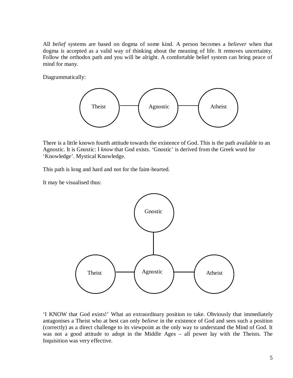All *belief* systems are based on dogma of some kind. A person becomes a *believer* when that dogma is accepted as a valid way of thinking about the meaning of life. It removes uncertainty. Follow the orthodox path and you will be alright. A comfortable belief system can bring peace of mind for many.

Diagrammatically:



There is a little known fourth attitude towards the existence of God. This is the path available to an Agnostic. It is Gnostic: I *know* that God exists. 'Gnostic' is derived from the Greek word for 'Knowledge'. Mystical Knowledge.

This path is long and hard and not for the faint-hearted.

It may be visualised thus:



'I KNOW that God exists!' What an extraordinary position to take. Obviously that immediately antagonises a Theist who at best can only *believe* in the existence of God and sees such a position (correctly) as a direct challenge to its viewpoint as the only way to understand the Mind of God. It was not a good attitude to adopt in the Middle Ages – all power lay with the Theists. The Inquisition was very effective.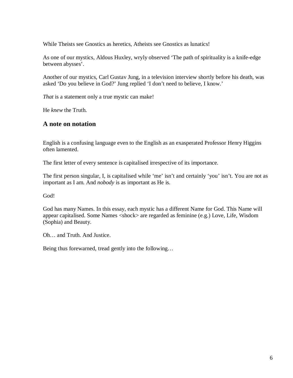While Theists see Gnostics as heretics, Atheists see Gnostics as lunatics!

As one of our mystics, Aldous Huxley, wryly observed 'The path of spirituality is a knife-edge between abysses'.

Another of our mystics, Carl Gustav Jung, in a television interview shortly before his death, was asked 'Do you believe in God?' Jung replied 'I don't need to believe, I know.'

*That* is a statement only a true mystic can make!

He *knew* the Truth.

#### **A note on notation**

English is a confusing language even to the English as an exasperated Professor Henry Higgins often lamented.

The first letter of every sentence is capitalised irrespective of its importance.

The first person singular, I, is capitalised while 'me' isn't and certainly 'you' isn't. You are not as important as I am. And *nobody* is as important as He is.

God!

God has many Names. In this essay, each mystic has a different Name for God. This Name will appear capitalised. Some Names <shock> are regarded as feminine (e.g.) Love, Life, Wisdom (Sophia) and Beauty.

Oh… and Truth. And Justice.

Being thus forewarned, tread gently into the following…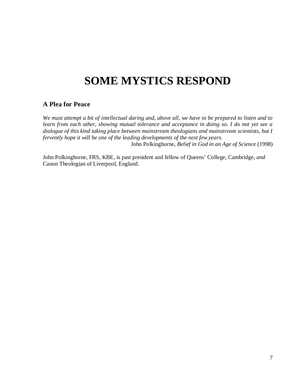### **SOME MYSTICS RESPOND**

#### **A Plea for Peace**

*We must attempt a bit of intellectual daring and, above all, we have to be prepared to listen and to learn from each other, showing mutual tolerance and acceptance in doing so. I do not yet see a dialogue of this kind taking place between mainstream theologians and mainstream scientists, but I fervently hope it will be one of the leading developments of the next few years.* John Polkinghorne*, Belief in God in an Age of Science* (1998)

John Polkinghorne, FRS, KBE, is past president and fellow of Queens' College, Cambridge, *and* Canon Theologian of Liverpool, England.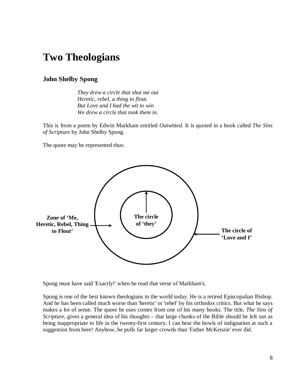### **Two Theologians**

#### **John Shelby Spong**

*They drew a circle that shut me out Heretic, rebel, a thing to flout. But Love and I had the wit to win We drew a circle that took them in.*

This is from a poem by Edwin Markham entitled *Outwitted*. It is quoted in a book called *The Sins of Scripture* by John Shelby Spong.

The quote may be represented thus:



Spong must have said 'Exactly!' when he read that verse of Markham's.

Spong is one of the best known theologians in the world today. He is a retired Episcopalian Bishop. And he has been called much worse than 'heretic' or 'rebel' by his orthodox critics. But what he says makes a lot of sense. The quote he uses comes from one of his many books. The title, *The Sins of Scripture*, gives a general idea of his thoughts – that large chunks of the Bible should be left out as being inappropriate to life in the twenty-first century. I can hear the howls of indignation at such a suggestion from here! Anyhow, he pulls far larger crowds than 'Father McKenzie' ever did.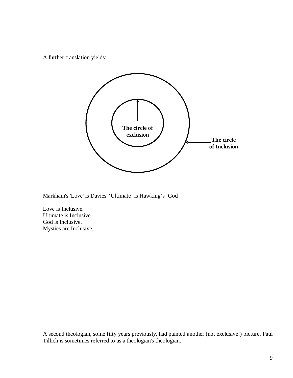A further translation yields:



Markham's 'Love' is Davies' 'Ultimate' is Hawking's 'God'

Love is Inclusive. Ultimate is Inclusive. God is Inclusive. Mystics are Inclusive.

A second theologian, some fifty years previously, had painted another (not exclusive!) picture. Paul Tillich is sometimes referred to as a theologian's theologian.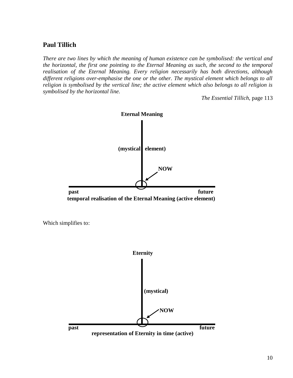#### **Paul Tillich**

*There are two lines by which the meaning of human existence can be symbolised: the vertical and the horizontal, the first one pointing to the Eternal Meaning as such, the second to the temporal realisation of the Eternal Meaning. Every religion necessarily has both directions, although different religions over-emphasise the one or the other. The mystical element which belongs to all religion is symbolised by the vertical line; the active element which also belongs to all religion is symbolised by the horizontal line.*

*The Essential Tillich*, page 113



Which simplifies to:

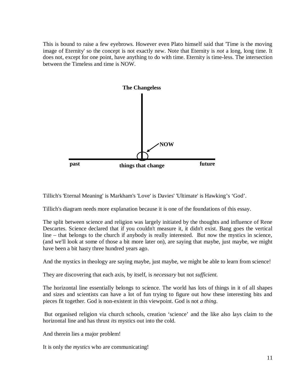This is bound to raise a few eyebrows. However even Plato himself said that 'Time is the moving image of Eternity' so the concept is not exactly new. Note that Eternity is *not* a long, long time. It does not, except for one point, have anything to do with time. Eternity is time-less. The intersection between the Timeless and time is NOW.



Tillich's 'Eternal Meaning' is Markham's 'Love' is Davies' 'Ultimate' is Hawking's 'God'.

Tillich's diagram needs more explanation because it is one of the foundations of this essay.

The split between science and religion was largely initiated by the thoughts and influence of Rene Descartes. Science declared that if you couldn't measure it, it didn't exist. Bang goes the vertical line – that belongs to the church if anybody is really interested. But now the mystics in science, (and we'll look at some of those a bit more later on), are saying that maybe, just maybe, we might have been a bit hasty three hundred years ago.

And the mystics in theology are saying maybe, just maybe, we might be able to learn from science!

They are discovering that each axis, by itself, is *necessary* but not *sufficient.*

The horizontal line essentially belongs to science. The world has lots of things in it of all shapes and sizes and scientists can have a lot of fun trying to figure out how these interesting bits and pieces fit together. God is non-existent in this viewpoint. God is not *a thing*.

 But organised religion via church schools, creation 'science' and the like also lays claim to the horizontal line and has thrust *its* mystics out into the cold.

And therein lies a major problem!

It is only the *mystics* who are communicating!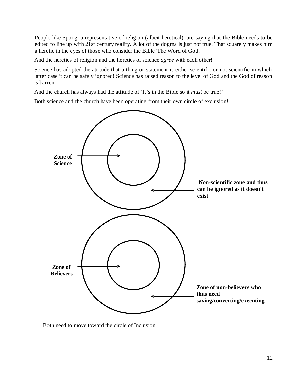People like Spong, a representative of religion (albeit heretical), are saying that the Bible needs to be edited to line up with 21st century reality. A lot of the dogma is just not true. That squarely makes him a heretic in the eyes of those who consider the Bible 'The Word of God'.

And the heretics of religion and the heretics of science *agree* with each other!

Science has adopted the attitude that a thing or statement is either scientific or not scientific in which latter case it can be safely ignored! Science has raised reason to the level of God and the God of reason is barren.

And the church has always had the attitude of 'It's in the Bible so it *must* be true!'

Both science and the church have been operating from their own circle of exclusion!



Both need to move toward the circle of Inclusion.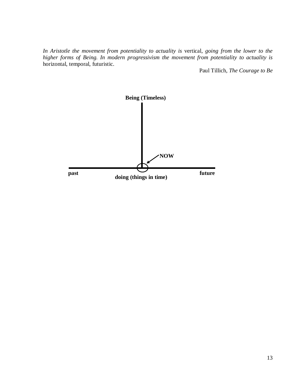*In Aristotle the movement from potentiality to actuality is* vertical*, going from the lower to the higher forms of Being. In modern progressivism the movement from potentiality to actuality is* horizontal, temporal, futuristic.

Paul Tillich*, The Courage to Be*

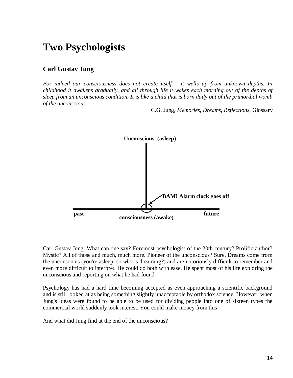### **Two Psychologists**

#### **Carl Gustav Jung**

*For indeed our consciousness does not create itself – it wells up from unknown depths. In childhood it awakens gradually, and all through life it wakes each morning out of the depths of sleep from an unconscious condition. It is like a child that is born daily out of the primordial womb of the unconscious.*

C.G. Jung, *Memories, Dreams, Reflections*, Glossary



Carl Gustav Jung. What can one say? Foremost psychologist of the 20th century? Prolific author? Mystic? All of those and much, much more. Pioneer of the unconscious? Sure. Dreams come from the unconscious (you're asleep, so *who* is dreaming?) and are notoriously difficult to remember and even more difficult to interpret. He could do both with ease. He spent most of his life exploring the unconscious and reporting on what he had found.

Psychology has had a hard time becoming accepted as even approaching a scientific background and is still looked at as being something slightly unacceptable by orthodox science. However, when Jung's ideas were found to be able to be used for dividing people into one of sixteen types the commercial world suddenly took interest. You could make money from this!

And what did Jung find at the end of the unconscious?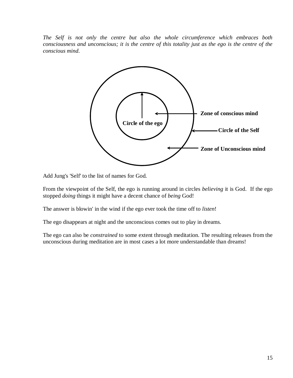*The Self is not only the centre but also the whole circumference which embraces both consciousness and unconscious; it is the centre of this totality just as the ego is the centre of the conscious mind*.



Add Jung's 'Self' to the list of names for God.

From the viewpoint of the Self, the ego is running around in circles *believing* it is God. If the ego stopped *doing* things it might have a decent chance of *being* God!

The answer is blowin' in the wind if the ego ever took the time off to *listen*!

The ego disappears at night and the unconscious comes out to play in dreams.

The ego can also be *constrained* to some extent through meditation. The resulting releases from the unconscious during meditation are in most cases a lot more understandable than dreams!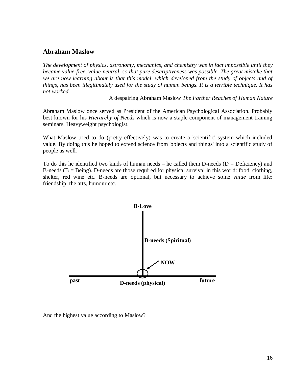#### **Abraham Maslow**

*The development of physics, astronomy, mechanics, and chemistry was in fact impossible until they became value-free, value-neutral, so that pure descriptiveness was possible. The great mistake that we are now learning about is that this model, which developed from the study of objects and of things, has been illegitimately used for the study of human beings. It is a terrible technique. It has not worked.*

A despairing Abraham Maslow *The Farther Reaches of Human Nature*

Abraham Maslow once served as President of the American Psychological Association. Probably best known for his *Hierarchy of Needs* which is now a staple component of management training seminars. Heavyweight psychologist.

What Maslow tried to do (pretty effectively) was to create a 'scientific' system which included value. By doing this he hoped to extend science from 'objects and things' into a scientific study of people as well.

To do this he identified two kinds of human needs – he called them D-needs ( $D = Deficiency$ ) and B-needs ( $B = Being$ ). D-needs are those required for physical survival in this world: food, clothing, shelter, red wine etc. B-needs are optional, but necessary to achieve some *value* from life: friendship, the arts, humour etc.



And the highest value according to Maslow?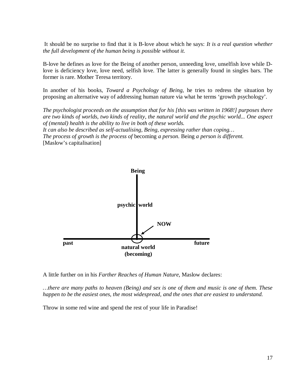It should be no surprise to find that it is B-love about which he says: *It is a real question whether the full development of the human being is possible without it.*

B-love he defines as love for the Being of another person, unneeding love, unselfish love while Dlove is deficiency love, love need, selfish love. The latter is generally found in singles bars. The former is rare. Mother Teresa territory.

In another of his books, *Toward a Psychology of Being*, he tries to redress the situation by proposing an alternative way of addressing human nature via what he terms 'growth psychology'.

*The psychologist proceeds on the assumption that for his [this was written in 1968!] purposes there are two kinds of worlds, two kinds of reality, the natural world and the psychic world... One aspect of (mental) health is the ability to live in both of these worlds. It can also be described as self-actualising, Being, expressing rather than coping…*

*The process of growth is the process of* becoming *a person*. Being *a person is different.* [Maslow's capitalisation]



A little further on in his *Farther Reaches of Human Nature*, Maslow declares:

*…there are many paths to heaven (Being) and sex is one of them and music is one of them. These happen to be the easiest ones, the most widespread, and the ones that are easiest to understand.*

Throw in some red wine and spend the rest of your life in Paradise!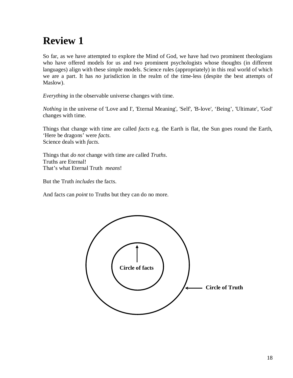### **Review 1**

So far, as we have attempted to explore the Mind of God, we have had two prominent theologians who have offered models for us and two prominent psychologists whose thoughts (in different languages) align with these simple models. Science rules (appropriately) in this real world of which we are a part. It has *no* jurisdiction in the realm of the time-less (despite the best attempts of Maslow).

*Everything* in the observable universe changes with time.

*Nothing* in the universe of 'Love and I', 'Eternal Meaning', 'Self', 'B-love', 'Being', 'Ultimate', 'God' changes with time.

Things that change with time are called *facts* e.g. the Earth is flat, the Sun goes round the Earth, 'Here be dragons' were *facts*. Science deals with *facts*.

Things that *do not* change with time are called *Truths*. Truths are Eternal! That's what Eternal Truth *means*!

But the Truth *includes* the facts.

And facts can *point* to Truths but they can do no more.

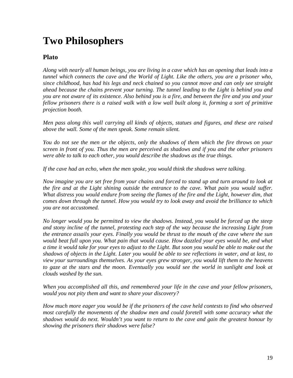### **Two Philosophers**

#### **Plato**

*Along with nearly all human beings, you are living in a cave which has an opening that leads into a tunnel which connects the cave and the World of Light. Like the others, you are a prisoner who, since childhood, has had his legs and neck chained so you cannot move and can only see straight ahead because the chains prevent your turning. The tunnel leading to the Light is behind you and you are not aware of its existence. Also behind you is a fire, and between the fire and you and your fellow prisoners there is a raised walk with a low wall built along it, forming a sort of primitive projection booth.*

*Men pass along this wall carrying all kinds of objects, statues and figures, and these are raised above the wall. Some of the men speak. Some remain silent.*

*You do not see the men or the objects, only the shadows of them which the fire throws on your screen in front of you. Thus the men are perceived as shadows and if you and the other prisoners were able to talk to each other, you would describe the shadows as the true things.*

*If the cave had an echo, when the men spoke, you would think the shadows were talking.*

*Now imagine you are set free from your chains and forced to stand up and turn around to look at the fire and at the Light shining outside the entrance to the cave. What pain you would suffer. What distress you would endure from seeing the flames of the fire and the Light, however dim, that comes down through the tunnel. How you would try to look away and avoid the brilliance to which you are not accustomed.*

*No longer would you be permitted to view the shadows. Instead, you would be forced up the steep and stony incline of the tunnel, protesting each step of the way because the increasing Light from the entrance assails your eyes. Finally you would be thrust to the mouth of the cave where the sun would beat full upon you. What pain that would cause. How dazzled your eyes would be, and what a time it would take for your eyes to adjust to the Light. But soon you would be able to make out the shadows of objects in the Light. Later you would be able to see reflections in water, and at last, to view your surroundings themselves. As your eyes grew stronger, you would lift them to the heavens to gaze at the stars and the moon. Eventually you would see the world in sunlight and look at clouds washed by the sun.*

*When you accomplished all this, and remembered your life in the cave and your fellow prisoners, would you not pity them and want to share your discovery?*

*How much more eager you would be if the prisoners of the cave held contests to find who observed most carefully the movements of the shadow men and could foretell with some accuracy what the shadows would do next. Wouldn't you want to return to the cave and gain the greatest honour by showing the prisoners their shadows were false?*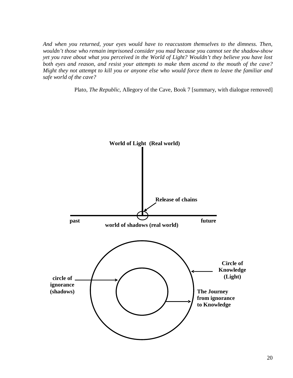*And when you returned, your eyes would have to reaccustom themselves to the dimness. Then, wouldn't those who remain imprisoned consider you mad because you cannot see the shadow-show yet you rave about what you perceived in the World of Light? Wouldn't they believe you have lost both eyes and reason, and resist your attempts to make them ascend to the mouth of the cave? Might they not attempt to kill you or anyone else who would force them to leave the familiar and safe world of the cave?*

Plato, *The Republic*, Allegory of the Cave, Book 7 [summary, with dialogue removed]

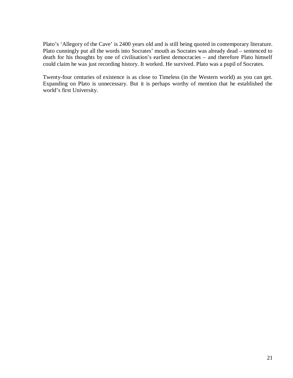Plato's 'Allegory of the Cave' is 2400 years old and is still being quoted in contemporary literature. Plato cunningly put all the words into Socrates' mouth as Socrates was already dead – sentenced to death for his thoughts by one of civilisation's earliest democracies – and therefore Plato himself could claim he was just recording history. It worked. He survived. Plato was a pupil of Socrates.

Twenty-four centuries of existence is as close to Timeless (in the Western world) as you can get. Expanding on Plato is unnecessary. But it is perhaps worthy of mention that he established the world's first University.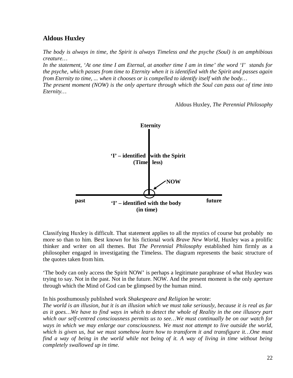#### **Aldous Huxley**

*The body is always in time, the Spirit is always Timeless and the psyche (Soul) is an amphibious creature…*

*In the statement, 'At one time I am Eternal, at another time I am in time' the word 'I' stands for the psyche, which passes from time to Eternity when it is identified with the Spirit and passes again from Eternity to time, ... when it chooses or is compelled to identify itself with the body…*

*The present moment (NOW) is the only aperture through which the Soul can pass out of time into Eternity…*

Aldous Huxley, *The Perennial Philosophy*



Classifying Huxley is difficult. That statement applies to all the mystics of course but probably no more so than to him. Best known for his fictional work *Brave New World*, Huxley was a prolific thinker and writer on all themes. But *The Perennial Philosophy* established him firmly as a philosopher engaged in investigating the Timeless. The diagram represents the basic structure of the quotes taken from him.

'The body can only access the Spirit NOW' is perhaps a legitimate paraphrase of what Huxley was trying to say. Not in the past. Not in the future. NOW. And the present moment is the only aperture through which the Mind of God can be glimpsed by the human mind.

In his posthumously published work *Shakespeare and Religion* he wrote:

*The world is an illusion, but it is an illusion which we must take seriously, because it is real as far as it goes…We have to find ways in which to detect the whole of Reality in the one illusory part which our self-centred consciousness permits us to see…We must continually be on our watch for ways in which we may enlarge our consciousness. We must not attempt to live outside the world, which is given us, but we must somehow learn how to transform it and transfigure it…One must find a way of being in the world while not being of it. A way of living in time without being completely swallowed up in time.*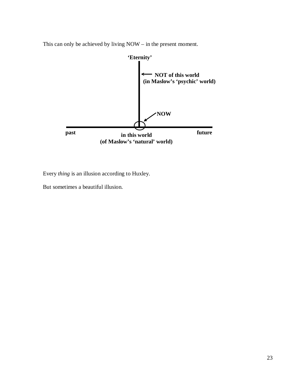This can only be achieved by living NOW – in the present moment.



Every *thing* is an illusion according to Huxley.

But sometimes a beautiful illusion.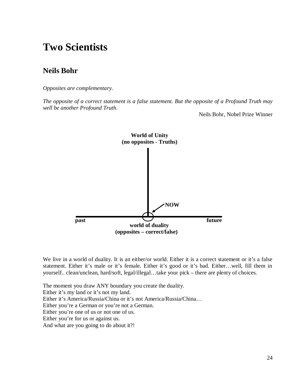### **Two Scientists**

#### **Neils Bohr**

*Opposites are complementary.*

*The opposite of a correct statement is a false statement. But the opposite of a Profound Truth may well be another Profound Truth*.

Neils Bohr, Nobel Prize Winner



We live in a world of duality. It is an either/or world. Either it is a correct statement or it's a false statement. Either it's male or it's female. Either it's good or it's bad. Either… well, fill them in yourself.. clean/unclean, hard/soft, legal/illegal… take your pick – there are plenty of choices.

The moment you draw ANY boundary you create the duality. Either it's my land or it's not my land. Either it's America/Russia/China or it's not America/Russia/China… Either you're a German or you're not a German. Either you're one of us or not one of us. Either you're for us or against us. And what are you going to do about it?!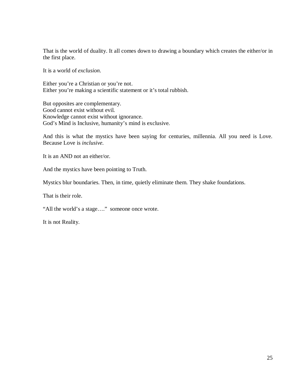That is the world of duality. It all comes down to drawing a boundary which creates the either/or in the first place.

It is a world of *exclusion*.

Either you're a Christian or you're not. Either you're making a scientific statement or it's total rubbish.

But opposites are complementary. Good cannot exist without evil. Knowledge cannot exist without ignorance. God's Mind is Inclusive, humanity's mind is exclusive.

And this is what the mystics have been saying for centuries, millennia. All you need is Love. Because Love is *inclusive*.

It is an AND not an either/or.

And the mystics have been pointing to Truth.

Mystics blur boundaries. Then, in time, quietly eliminate them. They shake foundations.

That is their role.

"All the world's a stage...." someone once wrote.

It is not Reality.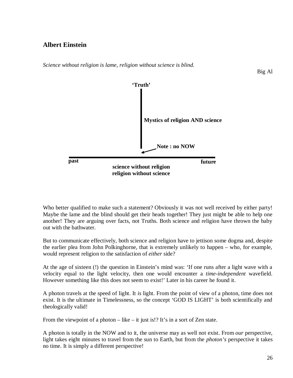#### **Albert Einstein**

*Science without religion is lame, religion without science is blind.*



Who better qualified to make such a statement? Obviously it was not well received by either party! Maybe the lame and the blind should get their heads together! They just might be able to help one another! They are arguing over facts, not Truths. Both science and religion have thrown the baby out with the bathwater.

But to communicate effectively, both science and religion have to jettison some dogma and, despite the earlier plea from John Polkinghorne, that is extremely unlikely to happen – who, for example, would represent religion to the satisfaction of *either* side?

At the age of sixteen (!) the question in Einstein's mind was: 'If one runs after a light wave with a velocity equal to the light velocity, then one would encounter a *time-independent* wavefield. However something like this does not seem to exist!' Later in his career he found it.

A photon travels at the speed of light. It *is* light. From the point of view of a photon, time does not exist. It is the ultimate in Timelessness, so the concept 'GOD IS LIGHT' is both scientifically and theologically valid!

From the viewpoint of a photon – like – it just is!? It's in a sort of Zen state.

A photon is totally in the NOW and to it, the universe may as well not exist. From *our* perspective, light takes eight minutes to travel from the sun to Earth, but from the *photon's* perspective it takes no time. It is simply a different perspective!

Big Al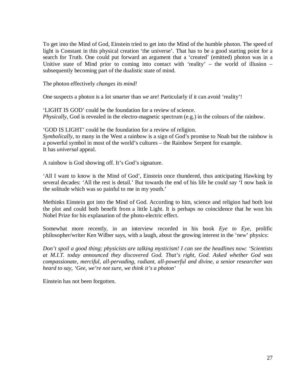To get into the Mind of God, Einstein tried to get into the Mind of the humble photon. The speed of light is Constant in this physical creation 'the universe'. That has to be a good starting point for a search for Truth. One could put forward an argument that a 'created' (emitted) photon was in a Unitive state of Mind prior to coming into contact with 'reality' – the world of illusion – subsequently becoming part of the dualistic state of mind.

The photon effectively *changes its mind!*

One suspects a photon is a lot smarter than *we* are! Particularly if it can avoid 'reality'!

'LIGHT IS GOD' could be the foundation for a review of science. *Physically*, God is revealed in the electro-magnetic spectrum (e.g.) in the colours of the rainbow.

'GOD IS LIGHT' could be the foundation for a review of religion. *Symbolically*, to many in the West a rainbow is a sign of God's promise to Noah but the rainbow is a powerful symbol in most of the world's cultures – the Rainbow Serpent for example. It has *universal* appeal.

A rainbow is God showing off. It's God's signature.

'All I want to know is the Mind of God', Einstein once thundered, thus anticipating Hawking by several decades: 'All the rest is detail.' But towards the end of his life he could say 'I now bask in the solitude which was so painful to me in my youth.'

Methinks Einstein got into the Mind of God. According to him, science and religion had both lost the plot and could both benefit from a little Light. It is perhaps no coincidence that he won his Nobel Prize for his explanation of the photo-electric effect.

Somewhat more recently, in an interview recorded in his book *Eye to Eye*, prolific philosopher/writer Ken Wilber says, with a laugh, about the growing interest in the 'new' physics:

*Don't spoil a good thing; physicists are talking mysticism! I can see the headlines now: 'Scientists at M.I.T. today announced they discovered God. That's right, God. Asked whether God was compassionate, merciful, all-pervading, radiant, all-powerful and divine, a senior researcher was heard to say, 'Gee, we're not sure, we think it's a photon'*

Einstein has not been forgotten.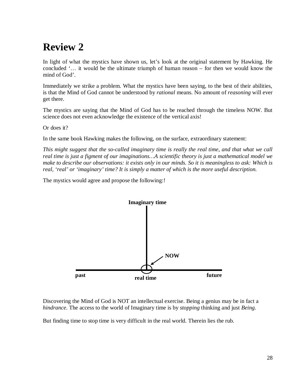### **Review 2**

In light of what the mystics have shown us, let's look at the original statement by Hawking. He concluded '… it would be the ultimate triumph of human reason – for then we would know the mind of God'.

Immediately we strike a problem. What the mystics have been saying, to the best of their abilities, is that the Mind of God cannot be understood by *rational* means. No amount of *reasoning* will ever get there.

The mystics are saying that the Mind of God has to be reached through the timeless NOW. But science does not even acknowledge the existence of the vertical axis!

Or does it?

In the same book Hawking makes the following, on the surface, extraordinary statement:

*This might suggest that the so-called imaginary time is really the real time, and that what we call real time is just a figment of our imaginations…A scientific theory is just a mathematical model we make to describe our observations: it exists only in our minds. So it is meaningless to ask: Which is real, 'real' or 'imaginary' time? It is simply a matter of which is the more useful description.*

The mystics would agree and propose the following:!



Discovering the Mind of God is NOT an intellectual exercise. Being a genius may be in fact a *hindrance*. The access to the world of Imaginary time is by *stopping* thinking and just *Being*.

But finding time to stop time is very difficult in the real world. Therein lies the rub.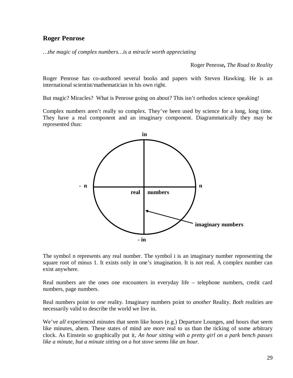#### **Roger Penrose**

*…the magic of complex numbers…is a miracle worth appreciating*

Roger Penrose*, The Road to Reality*

Roger Penrose has co-authored several books and papers with Steven Hawking. He is an international scientist/mathematician in his own right.

But magic? Miracles? What is Penrose going on about? This isn't orthodox science speaking!

Complex numbers aren't really so complex. They've been used by science for a long, long time. They have a real component and an imaginary component. Diagrammatically they may be represented thus:



The symbol n represents any real number. The symbol i is an imaginary number representing the square root of minus 1. It exists only in one's imagination. It is not real. A complex number can exist anywhere.

Real numbers are the ones one encounters in everyday life – telephone numbers, credit card numbers, page numbers.

Real numbers point to *one* reality. Imaginary numbers point to *another* Reality. *Both* realities are necessarily valid to describe the world we live in.

We've *all* experienced minutes that seem like hours (e.g.) Departure Lounges, and hours that seem like minutes, ahem. These states of mind are *more* real to us than the ticking of some arbitrary clock. As Einstein so graphically put it, *An hour sitting with a pretty girl on a park bench passes like a minute, but a minute sitting on a hot stove seems like an hour.*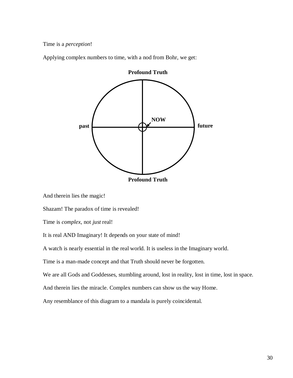Time is a *perception*!

Applying complex numbers to time, with a nod from Bohr, we get:



**Profound Truth**

And therein lies the magic!

Shazam! The paradox of time is revealed!

Time is *complex*, not *just* real!

It is real AND Imaginary! It depends on your state of mind!

A watch is nearly essential in the real world. It is useless in the Imaginary world.

Time is a man-made concept and that Truth should never be forgotten.

We are all Gods and Goddesses, stumbling around, lost in reality, lost in time, lost in space.

And therein lies the miracle. Complex numbers can show us the way Home.

Any resemblance of this diagram to a mandala is purely coincidental.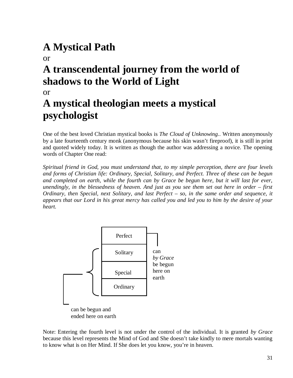## **A Mystical Path**

or

## **A transcendental journey from the world of shadows to the World of Light**

or

## **A mystical theologian meets a mystical psychologist**

One of the best loved Christian mystical books is *The Cloud of Unknowing.*. Written anonymously by a late fourteenth century monk (anonymous because his skin wasn't fireproof), it is still in print and quoted widely today. It is written as though the author was addressing a novice. The opening words of Chapter One read:

*Spiritual friend in God, you must understand that, to my simple perception, there are four levels and forms of Christian life: Ordinary, Special, Solitary, and Perfect. Three of these can be begun and completed on earth, while the fourth can by Grace be begun here, but it will last for ever, unendingly, in the blessedness of heaven. And just as you see them set out here in order – first Ordinary, then Special, next Solitary, and last Perfect – so, in the same order and sequence, it appears that our Lord in his great mercy has called you and led you to him by the desire of your heart.*



Note: Entering the fourth level is not under the control of the individual. It is granted *by Grace* because this level represents the Mind of God and She doesn't take kindly to mere mortals wanting to know what is on Her Mind. If She does let you know, you're in heaven.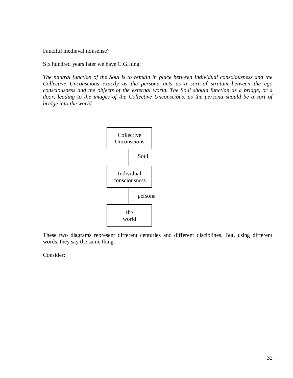Fanciful medieval nonsense?

Six hundred years later we have C.G.Jung:

*The natural function of the Soul is to remain in place between Individual consciousness and the Collective Unconscious exactly as the persona acts as a sort of stratum between the ego consciousness and the objects of the external world. The Soul should function as a bridge, or a door, leading to the images of the Collective Unconscious, as the persona should be a sort of bridge into the world.*



These two diagrams represent different centuries and different disciplines. But, using different words, they say the same thing.

Consider: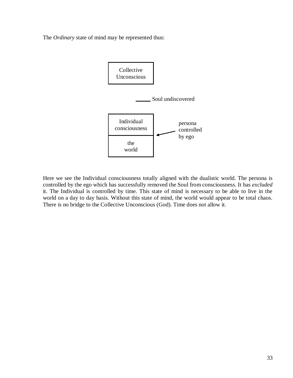The *Ordinary* state of mind may be represented thus:



Here we see the Individual consciousness totally aligned with the dualistic world. The persona is controlled by the ego which has successfully removed the Soul from consciousness. It has *excluded* it. The Individual is controlled by time. This state of mind is necessary to be able to live in the world on a day to day basis. Without this state of mind, the world would appear to be total chaos. There is no bridge to the Collective Unconscious (God). Time does not allow it.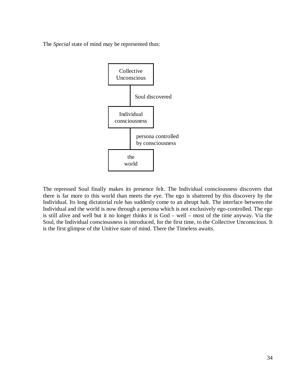The *Special* state of mind may be represented thus:



The repressed Soul finally makes its presence felt. The Individual consciousness discovers that there is far more to this world than meets the eye. The ego is shattered by this discovery by the Individual. Its long dictatorial rule has suddenly come to an abrupt halt. The interface between the Individual and the world is now through a persona which is not exclusively ego-controlled. The ego is still alive and well but it no longer thinks it is God – well – most of the time anyway. Via the Soul, the Individual consciousness is introduced, for the first time, to the Collective Unconscious. It is the first glimpse of the Unitive state of mind. There the Timeless awaits.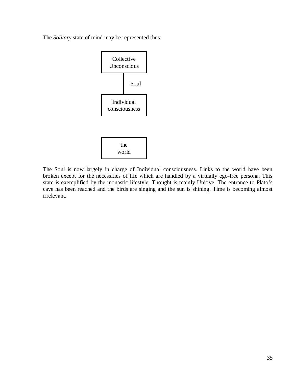The *Solitary* state of mind may be represented thus:



The Soul is now largely in charge of Individual consciousness. Links to the world have been broken except for the necessities of life which are handled by a virtually ego-free persona. This state is exemplified by the monastic lifestyle. Thought is mainly Unitive. The entrance to Plato's cave has been reached and the birds are singing and the sun is shining. Time is becoming almost irrelevant.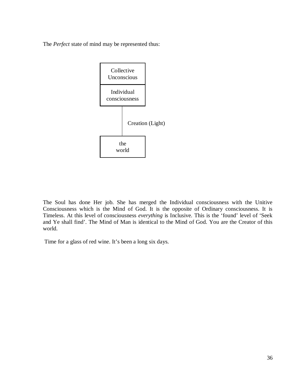The *Perfect* state of mind may be represented thus:



The Soul has done Her job. She has merged the Individual consciousness with the Unitive Consciousness which is the Mind of God. It is the opposite of Ordinary consciousness. It is Timeless. At this level of consciousness *everything* is Inclusive. This is the 'found' level of 'Seek and Ye shall find'. The Mind of Man is identical to the Mind of God. You are the Creator of this world.

Time for a glass of red wine. It's been a long six days.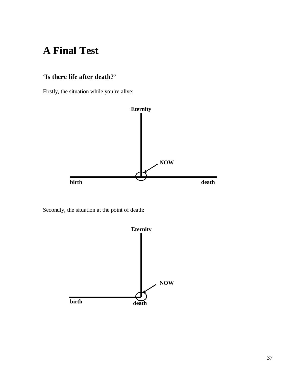### **A Final Test**

#### **'Is there life after death?'**

Firstly, the situation while you're alive:



Secondly, the situation at the point of death:

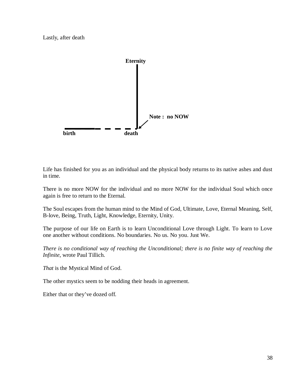

Life has finished for you as an individual and the physical body returns to its native ashes and dust in time.

There is no more NOW for the individual and no more NOW for the individual Soul which once again is free to return to the Eternal.

The Soul escapes from the human mind to the Mind of God, Ultimate, Love, Eternal Meaning, Self, B-love, Being, Truth, Light, Knowledge, Eternity, Unity.

The purpose of our life on Earth is to learn Unconditional Love through Light. To learn to Love one another without conditions. No boundaries. No us. No you. Just We.

*There is no conditional way of reaching the Unconditional; there is no finite way of reaching the Infinite*, wrote Paul Tillich.

*That* is the Mystical Mind of God.

The other mystics seem to be nodding their heads in agreement.

Either that or they've dozed off.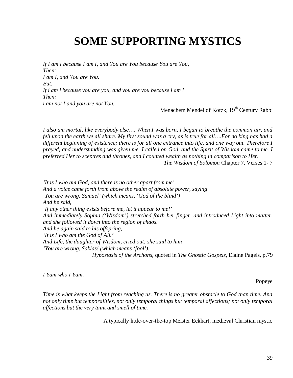## **SOME SUPPORTING MYSTICS**

*If I am I because I am I, and You are You because You are You, Then: I am I, and You are You. But: If i am i because you are you, and you are you because i am i Then: i am not I and you are not You.*

Menachem Mendel of Kotzk, 19<sup>th</sup> Century Rabbi

*I also am mortal, like everybody else…. When I was born, I began to breathe the common air, and fell upon the earth we all share. My first sound was a cry, as is true for all….For no king has had a different beginning of existence; there is for all one entrance into life, and one way out. Therefore I prayed, and understanding was given me. I called on God, and the Spirit of Wisdom came to me. I preferred Her to sceptres and thrones, and I counted wealth as nothing in comparison to Her. The Wisdom of Solomon* Chapter 7, Verses 1- 7

*'It is I who am God, and there is no other apart from me' And a voice came forth from above the realm of absolute power, saying 'You are wrong, Samael' (which means, 'God of the blind') And he said, 'If any other thing exists before me, let it appear to me!' And immediately Sophia ('Wisdom') stretched forth her finger, and introduced Light into matter, and she followed it down into the region of chaos. And he again said to his offspring, 'It is I who am the God of All.' And Life, the daughter of Wisdom, cried out; she said to him 'You are wrong, Saklas! (which means 'fool'). Hypostasis of the Archons*, quoted in *The Gnostic Gospels,* Elaine Pagels, p.79

*I Yam who I Yam*.

#### Popeye

*Time is what keeps the Light from reaching us. There is no greater obstacle to God than time. And not only time but temporalities, not only temporal things but temporal affections; not only temporal affections but the very taint and smell of time.*

A typically little-over-the-top Meister Eckhart, medieval Christian mystic